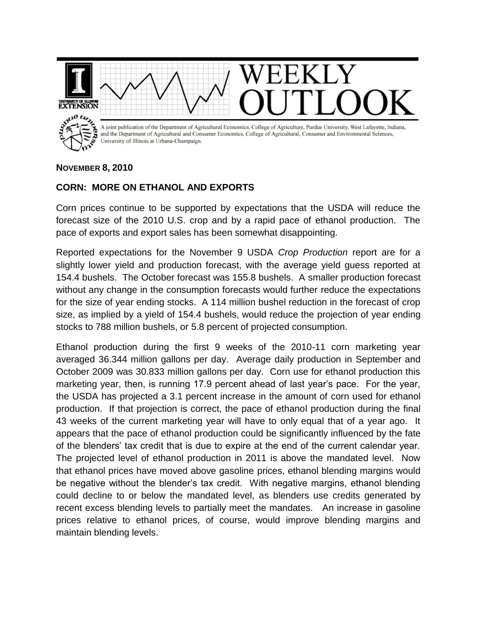

## **NOVEMBER 8, 2010**

## **CORN: MORE ON ETHANOL AND EXPORTS**

Corn prices continue to be supported by expectations that the USDA will reduce the forecast size of the 2010 U.S. crop and by a rapid pace of ethanol production. The pace of exports and export sales has been somewhat disappointing.

Reported expectations for the November 9 USDA *Crop Production* report are for a slightly lower yield and production forecast, with the average yield guess reported at 154.4 bushels. The October forecast was 155.8 bushels. A smaller production forecast without any change in the consumption forecasts would further reduce the expectations for the size of year ending stocks. A 114 million bushel reduction in the forecast of crop size, as implied by a yield of 154.4 bushels, would reduce the projection of year ending stocks to 788 million bushels, or 5.8 percent of projected consumption.

Ethanol production during the first 9 weeks of the 2010-11 corn marketing year averaged 36.344 million gallons per day. Average daily production in September and October 2009 was 30.833 million gallons per day. Corn use for ethanol production this marketing year, then, is running 17.9 percent ahead of last year's pace. For the year, the USDA has projected a 3.1 percent increase in the amount of corn used for ethanol production. If that projection is correct, the pace of ethanol production during the final 43 weeks of the current marketing year will have to only equal that of a year ago. It appears that the pace of ethanol production could be significantly influenced by the fate of the blenders' tax credit that is due to expire at the end of the current calendar year. The projected level of ethanol production in 2011 is above the mandated level. Now that ethanol prices have moved above gasoline prices, ethanol blending margins would be negative without the blender's tax credit. With negative margins, ethanol blending could decline to or below the mandated level, as blenders use credits generated by recent excess blending levels to partially meet the mandates. An increase in gasoline prices relative to ethanol prices, of course, would improve blending margins and maintain blending levels.